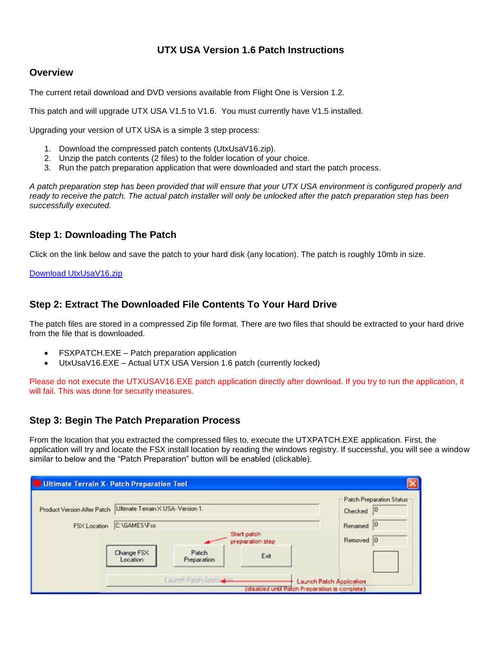# **UTX USA Version 1.6 Patch Instructions**

### **Overview**

The current retail download and DVD versions available from Flight One is Version 1.2.

This patch and will upgrade UTX USA V1.5 to V1.6. You must currently have V1.5 installed.

Upgrading your version of UTX USA is a simple 3 step process:

- 1. Download the compressed patch contents (UtxUsaV16.zip).
- 2. Unzip the patch contents (2 files) to the folder location of your choice.
- 3. Run the patch preparation application that were downloaded and start the patch process.

*A patch preparation step has been provided that will ensure that your UTX USA environment is configured properly and*  ready to receive the patch. The actual patch installer will only be unlocked after the patch preparation step has been *successfully executed.* 

## **Step 1: Downloading The Patch**

Click on the link below and save the patch to your hard disk (any location). The patch is roughly 10mb in size.

#### [Download UtxUsaV16.zip](http://files.100megabyte.com/ultterrain/UtxUsaV16.zip)

### **Step 2: Extract The Downloaded File Contents To Your Hard Drive**

The patch files are stored in a compressed Zip file format. There are two files that should be extracted to your hard drive from the file that is downloaded.

- FSXPATCH.EXE Patch preparation application
- UtxUsaV16.EXE Actual UTX USA Version 1.6 patch (currently locked)

Please do not execute the UTXUSAV16.EXE patch application directly after download. If you try to run the application, it will fail. This was done for security measures.

## **Step 3: Begin The Patch Preparation Process**

From the location that you extracted the compressed files to, execute the UTXPATCH.EXE application. First, the application will try and locate the FSX install location by reading the windows registry. If successful, you will see a window similar to below and the "Patch Preparation" button will be enabled (clickable).

| <b>Ultimate Terrain X- Patch Preparation Tool</b> |                                                |                          |      |                                                   |
|---------------------------------------------------|------------------------------------------------|--------------------------|------|---------------------------------------------------|
| Product Version After Patch                       | Ultimate Terrain X USA-Version 1.              |                          |      | <b>Patch Preparation Status</b><br> 0 <br>Checked |
| FSX Location                                      | C:\GAMES\Fsx                                   |                          |      | Renamed <sub>0</sub>                              |
|                                                   | Start patch<br>preparation step                |                          |      | Removed 0                                         |
|                                                   | Change FSX<br>Location                         | Patch<br>Preparation     | Exit |                                                   |
|                                                   |                                                | Launch Palch Application |      | Launch Patch Application                          |
|                                                   | (disabled until Patch Preparation is complete) |                          |      |                                                   |